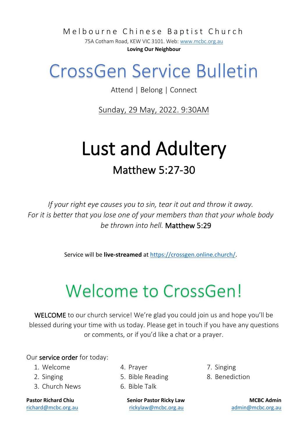Melbourne Chinese Baptist Church

75A Cotham Road, KEW VIC 3101. Web[: www.mcbc.org.au](http://www.mcbc.org.au/) **Loving Our Neighbour**

## CrossGen Service Bulletin

Attend | Belong | Connect

Sunday, 29 May, 2022. 9:30AM

## Lust and Adultery Matthew 5:27-30

*If your right eye causes you to sin, tear it out and throw it away. For it is better that you lose one of your members than that your whole body be thrown into hell.* Matthew 5:29

Service will be **live-streamed** a[t https://crossgen.online.church/.](https://crossgen.online.church/)

# Welcome to CrossGen!

WELCOME to our church service! We're glad you could join us and hope you'll be blessed during your time with us today. Please get in touch if you have any questions or comments, or if you'd like a chat or a prayer.

#### Our service order for today:

- 1. Welcome
- 2. Singing
- 3. Church News

- 4. Prayer
- 5. Bible Reading
- 6. Bible Talk

**Pastor Richard Chiu Senior Pastor Ricky Law MCBC Admin** [richard@mcbc.org.au](mailto:richard@mcbc.org.au) [rickylaw@mcbc.org.au](mailto:rickylaw@mcbc.org.au) [admin@mcbc.org.au](mailto:admin@mcbc.org.au)

7. Singing

8. Benediction